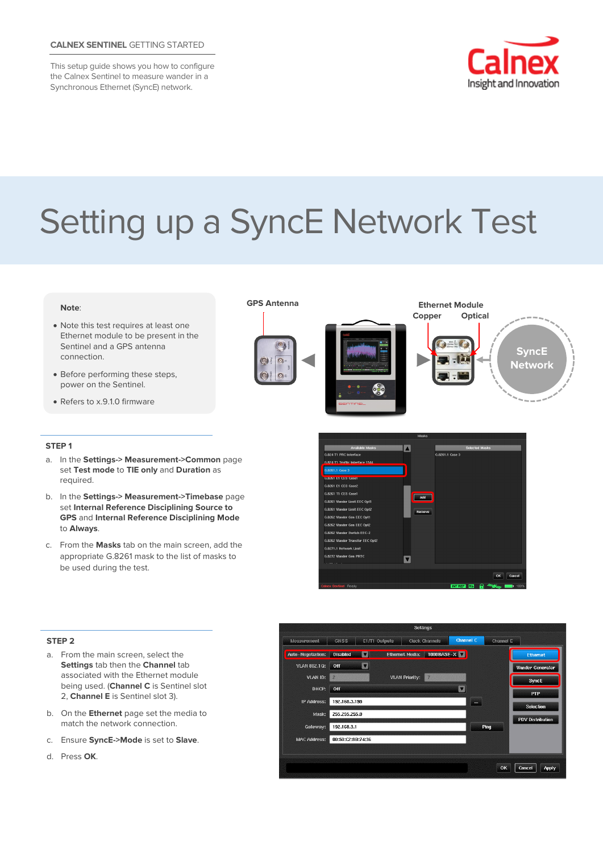# **CALNEX SENTINEL** GETTING STARTED

This setup guide shows you how to configure the Calnex Sentinel to measure wander in a Synchronous Ethernet (SyncE) network.



# Setting up a SyncE Network Test

#### **Note**:

- Note this test requires at least one Ethernet module to be present in the Sentinel and a GPS antenna connection.
- Before performing these steps, power on the Sentinel.
- Refers to x.9.1.0 firmware



#### **STEP 1**

- a. In the **Settings-> Measurement->Common** page set **Test mode** to **TIE only** and **Duration** as required.
- b. In the **Settings-> Measurement->Timebase** page set **Internal Reference Disciplining Source to GPS** and **Internal Reference Disciplining Mode**  to **Always**.
- c. From the **Masks** tab on the main screen, add the appropriate G.8261 mask to the list of masks to be used during the test.



### **STEP 2**

- a. From the main screen, select the **Settings** tab then the **Channel** tab associated with the Ethernet module being used. (**Channel C** is Sentinel slot 2, **Channel E** is Sentinel slot 3).
- b. On the **Ethernet** page set the media to match the network connection.
- c. Ensure **SyncE->Mode** is set to **Slave**.
- d. Press **OK**.